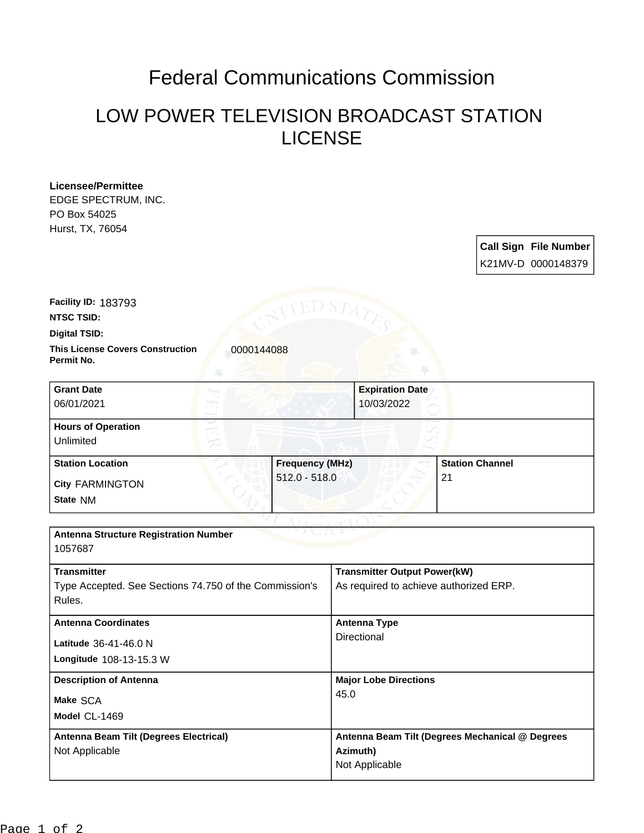## Federal Communications Commission

## LOW POWER TELEVISION BROADCAST STATION LICENSE

| <b>Licensee/Permittee</b>                                           |                        |                                                 |                        |  |                              |  |
|---------------------------------------------------------------------|------------------------|-------------------------------------------------|------------------------|--|------------------------------|--|
| EDGE SPECTRUM, INC.                                                 |                        |                                                 |                        |  |                              |  |
| PO Box 54025                                                        |                        |                                                 |                        |  |                              |  |
| Hurst, TX, 76054                                                    |                        |                                                 |                        |  |                              |  |
|                                                                     |                        |                                                 |                        |  | <b>Call Sign File Number</b> |  |
|                                                                     |                        |                                                 |                        |  | K21MV-D 0000148379           |  |
|                                                                     |                        |                                                 |                        |  |                              |  |
|                                                                     |                        |                                                 |                        |  |                              |  |
| Facility ID: 183793                                                 | ED S $\tau$            |                                                 |                        |  |                              |  |
| <b>NTSC TSID:</b>                                                   |                        |                                                 |                        |  |                              |  |
| <b>Digital TSID:</b>                                                |                        |                                                 |                        |  |                              |  |
| <b>This License Covers Construction</b><br>0000144088<br>Permit No. |                        |                                                 |                        |  |                              |  |
| <b>Grant Date</b>                                                   |                        | <b>Expiration Date</b>                          |                        |  |                              |  |
| 06/01/2021                                                          |                        | 10/03/2022                                      |                        |  |                              |  |
|                                                                     |                        |                                                 |                        |  |                              |  |
| <b>Hours of Operation</b>                                           |                        |                                                 |                        |  |                              |  |
| Unlimited                                                           |                        |                                                 |                        |  |                              |  |
| <b>Station Location</b>                                             | <b>Frequency (MHz)</b> |                                                 | <b>Station Channel</b> |  |                              |  |
| <b>City FARMINGTON</b>                                              | $512.0 - 518.0$        |                                                 | 21                     |  |                              |  |
| State NM                                                            |                        |                                                 |                        |  |                              |  |
|                                                                     |                        |                                                 |                        |  |                              |  |
| <b>Antenna Structure Registration Number</b>                        |                        |                                                 |                        |  |                              |  |
| 1057687                                                             |                        |                                                 |                        |  |                              |  |
|                                                                     |                        |                                                 |                        |  |                              |  |
| <b>Transmitter</b>                                                  |                        | <b>Transmitter Output Power(kW)</b>             |                        |  |                              |  |
| Type Accepted. See Sections 74.750 of the Commission's              |                        | As required to achieve authorized ERP.          |                        |  |                              |  |
| Rules.                                                              |                        |                                                 |                        |  |                              |  |
| <b>Antenna Coordinates</b>                                          |                        | <b>Antenna Type</b>                             |                        |  |                              |  |
| Latitude 36-41-46.0 N                                               |                        | Directional                                     |                        |  |                              |  |
|                                                                     |                        |                                                 |                        |  |                              |  |
| Longitude 108-13-15.3 W                                             |                        |                                                 |                        |  |                              |  |
| <b>Description of Antenna</b>                                       |                        | <b>Major Lobe Directions</b>                    |                        |  |                              |  |
| Make SCA                                                            | 45.0                   |                                                 |                        |  |                              |  |
| Model CL-1469                                                       |                        |                                                 |                        |  |                              |  |
| Antenna Beam Tilt (Degrees Electrical)                              |                        | Antenna Beam Tilt (Degrees Mechanical @ Degrees |                        |  |                              |  |
| Not Applicable                                                      |                        | Azimuth)                                        |                        |  |                              |  |
|                                                                     |                        | Not Applicable                                  |                        |  |                              |  |
|                                                                     |                        |                                                 |                        |  |                              |  |